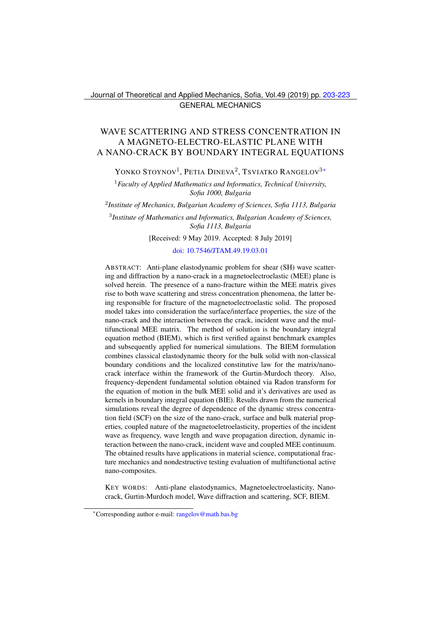# <span id="page-0-0"></span>WAVE SCATTERING AND STRESS CONCENTRATION IN A MAGNETO-ELECTRO-ELASTIC PLANE WITH A NANO-CRACK BY BOUNDARY INTEGRAL EQUATIONS

YONKO STOYNOV<sup>1</sup>, PETIA DINEVA<sup>2</sup>, TSVIATKO RANGELOV<sup>3\*</sup>

<sup>1</sup>*Faculty of Applied Mathematics and Informatics, Technical University, Sofia 1000, Bulgaria*

2 *Institute of Mechanics, Bulgarian Academy of Sciences, Sofia 1113, Bulgaria*

3 *Institute of Mathematics and Informatics, Bulgarian Academy of Sciences, Sofia 1113, Bulgaria*

[Received: 9 May 2019. Accepted: 8 July 2019]

[doi: 10.7546/JTAM.49.19.03.01](https://doi.org/10.7546/JTAM.49.19.03.01)

ABSTRACT: Anti-plane elastodynamic problem for shear (SH) wave scattering and diffraction by a nano-crack in a magnetoelectroelastic (MEE) plane is solved herein. The presence of a nano-fracture within the MEE matrix gives rise to both wave scattering and stress concentration phenomena, the latter being responsible for fracture of the magnetoelectroelastic solid. The proposed model takes into consideration the surface/interface properties, the size of the nano-crack and the interaction between the crack, incident wave and the multifunctional MEE matrix. The method of solution is the boundary integral equation method (BIEM), which is first verified against benchmark examples and subsequently applied for numerical simulations. The BIEM formulation combines classical elastodynamic theory for the bulk solid with non-classical boundary conditions and the localized constitutive law for the matrix/nanocrack interface within the framework of the Gurtin-Murdoch theory. Also, frequency-dependent fundamental solution obtained via Radon transform for the equation of motion in the bulk MEE solid and it's derivatives are used as kernels in boundary integral equation (BIE). Results drawn from the numerical simulations reveal the degree of dependence of the dynamic stress concentration field (SCF) on the size of the nano-crack, surface and bulk material properties, coupled nature of the magnetoeletroelasticity, properties of the incident wave as frequency, wave length and wave propagation direction, dynamic interaction between the nano-crack, incident wave and coupled MEE continuum. The obtained results have applications in material science, computational fracture mechanics and nondestructive testing evaluation of multifunctional active nano-composites.

KEY WORDS: Anti-plane elastodynamics, Magnetoelectroelasticity, Nanocrack, Gurtin-Murdoch model, Wave diffraction and scattering, SCF, BIEM.

<span id="page-0-1"></span><sup>∗</sup>Corresponding author e-mail: [rangelov@math.bas.bg](mailto:rangelov@math.bas.bg)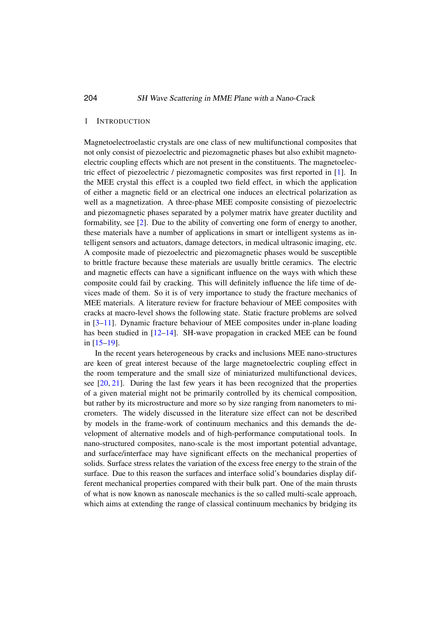#### 1 INTRODUCTION

Magnetoelectroelastic crystals are one class of new multifunctional composites that not only consist of piezoelectric and piezomagnetic phases but also exhibit magnetoelectric coupling effects which are not present in the constituents. The magnetoelectric effect of piezoelectric / piezomagnetic composites was first reported in [\[1\]](#page-17-0). In the MEE crystal this effect is a coupled two field effect, in which the application of either a magnetic field or an electrical one induces an electrical polarization as well as a magnetization. A three-phase MEE composite consisting of piezoelectric and piezomagnetic phases separated by a polymer matrix have greater ductility and formability, see [\[2\]](#page-17-1). Due to the ability of converting one form of energy to another, these materials have a number of applications in smart or intelligent systems as intelligent sensors and actuators, damage detectors, in medical ultrasonic imaging, etc. A composite made of piezoelectric and piezomagnetic phases would be susceptible to brittle fracture because these materials are usually brittle ceramics. The electric and magnetic effects can have a significant influence on the ways with which these composite could fail by cracking. This will definitely influence the life time of devices made of them. So it is of very importance to study the fracture mechanics of MEE materials. A literature review for fracture behaviour of MEE composites with cracks at macro-level shows the following state. Static fracture problems are solved in [\[3](#page-17-2)[–11\]](#page-18-0). Dynamic fracture behaviour of MEE composites under in-plane loading has been studied in [\[12–](#page-18-1)[14\]](#page-18-2). SH-wave propagation in cracked MEE can be found in [\[15–](#page-18-3)[19\]](#page-18-4).

In the recent years heterogeneous by cracks and inclusions MEE nano-structures are keen of great interest because of the large magnetoelectric coupling effect in the room temperature and the small size of miniaturized multifunctional devices, see [\[20,](#page-18-5) [21\]](#page-18-6). During the last few years it has been recognized that the properties of a given material might not be primarily controlled by its chemical composition, but rather by its microstructure and more so by size ranging from nanometers to micrometers. The widely discussed in the literature size effect can not be described by models in the frame-work of continuum mechanics and this demands the development of alternative models and of high-performance computational tools. In nano-structured composites, nano-scale is the most important potential advantage, and surface/interface may have significant effects on the mechanical properties of solids. Surface stress relates the variation of the excess free energy to the strain of the surface. Due to this reason the surfaces and interface solid's boundaries display different mechanical properties compared with their bulk part. One of the main thrusts of what is now known as nanoscale mechanics is the so called multi-scale approach, which aims at extending the range of classical continuum mechanics by bridging its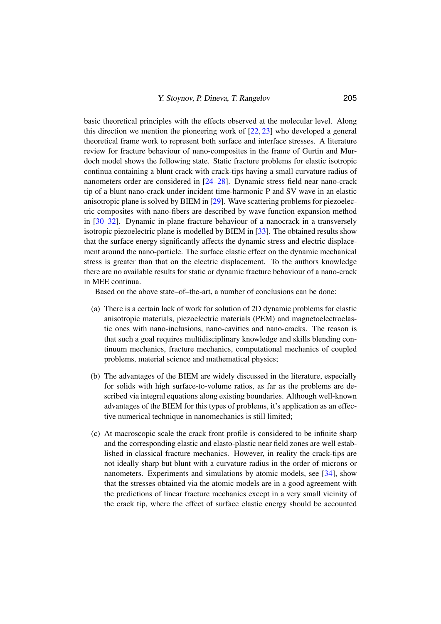basic theoretical principles with the effects observed at the molecular level. Along this direction we mention the pioneering work of  $[22, 23]$  $[22, 23]$  $[22, 23]$  who developed a general theoretical frame work to represent both surface and interface stresses. A literature review for fracture behaviour of nano-composites in the frame of Gurtin and Murdoch model shows the following state. Static fracture problems for elastic isotropic continua containing a blunt crack with crack-tips having a small curvature radius of nanometers order are considered in [\[24–](#page-19-2)[28\]](#page-19-3). Dynamic stress field near nano-crack tip of a blunt nano-crack under incident time-harmonic P and SV wave in an elastic anisotropic plane is solved by BIEM in [\[29\]](#page-19-4). Wave scattering problems for piezoelectric composites with nano-fibers are described by wave function expansion method in [\[30–](#page-19-5)[32\]](#page-19-6). Dynamic in-plane fracture behaviour of a nanocrack in a transversely isotropic piezoelectric plane is modelled by BIEM in [\[33\]](#page-19-7). The obtained results show that the surface energy significantly affects the dynamic stress and electric displacement around the nano-particle. The surface elastic effect on the dynamic mechanical stress is greater than that on the electric displacement. To the authors knowledge there are no available results for static or dynamic fracture behaviour of a nano-crack in MEE continua.

Based on the above state–of–the-art, a number of conclusions can be done:

- (a) There is a certain lack of work for solution of 2D dynamic problems for elastic anisotropic materials, piezoelectric materials (PEM) and magnetoelectroelastic ones with nano-inclusions, nano-cavities and nano-cracks. The reason is that such a goal requires multidisciplinary knowledge and skills blending continuum mechanics, fracture mechanics, computational mechanics of coupled problems, material science and mathematical physics;
- (b) The advantages of the BIEM are widely discussed in the literature, especially for solids with high surface-to-volume ratios, as far as the problems are described via integral equations along existing boundaries. Although well-known advantages of the BIEM for this types of problems, it's application as an effective numerical technique in nanomechanics is still limited;
- (c) At macroscopic scale the crack front profile is considered to be infinite sharp and the corresponding elastic and elasto-plastic near field zones are well established in classical fracture mechanics. However, in reality the crack-tips are not ideally sharp but blunt with a curvature radius in the order of microns or nanometers. Experiments and simulations by atomic models, see [\[34\]](#page-19-8), show that the stresses obtained via the atomic models are in a good agreement with the predictions of linear fracture mechanics except in a very small vicinity of the crack tip, where the effect of surface elastic energy should be accounted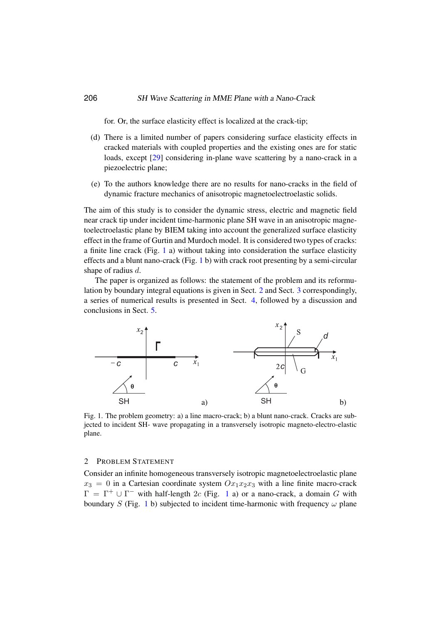for. Or, the surface elasticity effect is localized at the crack-tip;

- (d) There is a limited number of papers considering surface elasticity effects in cracked materials with coupled properties and the existing ones are for static loads, except [\[29\]](#page-19-4) considering in-plane wave scattering by a nano-crack in a piezoelectric plane;
- (e) To the authors knowledge there are no results for nano-cracks in the field of dynamic fracture mechanics of anisotropic magnetoelectroelastic solids.

The aim of this study is to consider the dynamic stress, electric and magnetic field near crack tip under incident time-harmonic plane SH wave in an anisotropic magnetoelectroelastic plane by BIEM taking into account the generalized surface elasticity effect in the frame of Gurtin and Murdoch model. It is considered two types of cracks: a finite line crack (Fig. [1](#page-3-0) a) without taking into consideration the surface elasticity effects and a blunt nano-crack (Fig. [1](#page-3-0) b) with crack root presenting by a semi-circular shape of radius d.

The paper is organized as follows: the statement of the problem and its reformulation by boundary integral equations is given in Sect. [2](#page-3-1) and Sect. [3](#page-8-0) correspondingly, a series of numerical results is presented in Sect. [4,](#page-11-0) followed by a discussion and conclusions in Sect. [5.](#page-16-0)



<span id="page-3-0"></span>Fig. 1. The problem geometry: a) a line macro-crack; b) a blunt nano-crack. Cracks are subjected to incident SH- wave propagating in a transversely isotropic magneto-electro-elastic plane.

#### <span id="page-3-1"></span>2 PROBLEM STATEMENT

Consider an infinite homogeneous transversely isotropic magnetoelectroelastic plane  $x_3 = 0$  in a Cartesian coordinate system  $Ox_1x_2x_3$  with a line finite macro-crack  $\Gamma = \Gamma^+ \cup \Gamma^-$  with half-length 2c (Fig. [1](#page-3-0) a) or a nano-crack, a domain G with boundary S (Fig. [1](#page-3-0) b) subjected to incident time-harmonic with frequency  $\omega$  plane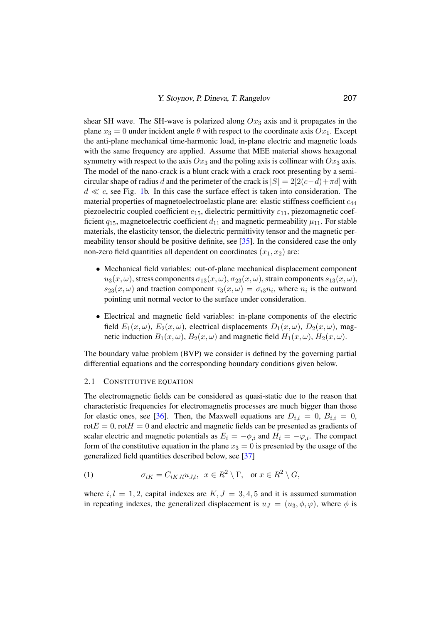shear SH wave. The SH-wave is polarized along  $Ox_3$  axis and it propagates in the plane  $x_3 = 0$  under incident angle  $\theta$  with respect to the coordinate axis  $Ox_1$ . Except the anti-plane mechanical time-harmonic load, in-plane electric and magnetic loads with the same frequency are applied. Assume that MEE material shows hexagonal symmetry with respect to the axis  $Ox_3$  and the poling axis is collinear with  $Ox_3$  axis. The model of the nano-crack is a blunt crack with a crack root presenting by a semicircular shape of radius d and the perimeter of the crack is  $|S| = 2[2(c-d)+\pi d]$  with  $d \ll c$ , see Fig. [1b](#page-3-0). In this case the surface effect is taken into consideration. The material properties of magnetoelectroelastic plane are: elastic stiffness coefficient  $c_{44}$ piezoelectric coupled coefficient  $e_{15}$ , dielectric permittivity  $\varepsilon_{11}$ , piezomagnetic coefficient  $q_{15}$ , magnetoelectric coefficient  $d_{11}$  and magnetic permeability  $\mu_{11}$ . For stable materials, the elasticity tensor, the dielectric permittivity tensor and the magnetic permeability tensor should be positive definite, see [\[35\]](#page-19-9). In the considered case the only non-zero field quantities all dependent on coordinates  $(x_1, x_2)$  are:

- Mechanical field variables: out-of-plane mechanical displacement component  $u_3(x,\omega)$ , stress components  $\sigma_{13}(x,\omega)$ ,  $\sigma_{23}(x,\omega)$ , strain components  $s_{13}(x,\omega)$ ,  $s_{23}(x,\omega)$  and traction component  $\tau_3(x,\omega) = \sigma_{i3}n_i$ , where  $n_i$  is the outward pointing unit normal vector to the surface under consideration.
- Electrical and magnetic field variables: in-plane components of the electric field  $E_1(x, \omega)$ ,  $E_2(x, \omega)$ , electrical displacements  $D_1(x, \omega)$ ,  $D_2(x, \omega)$ , magnetic induction  $B_1(x, \omega)$ ,  $B_2(x, \omega)$  and magnetic field  $H_1(x, \omega)$ ,  $H_2(x, \omega)$ .

The boundary value problem (BVP) we consider is defined by the governing partial differential equations and the corresponding boundary conditions given below.

### 2.1 CONSTITUTIVE EQUATION

The electromagnetic fields can be considered as quasi-static due to the reason that characteristic frequencies for electromagnetis processes are much bigger than those for elastic ones, see [\[36\]](#page-19-10). Then, the Maxwell equations are  $D_{i,i} = 0$ ,  $B_{i,i} = 0$ , rot $E = 0$ , rot $H = 0$  and electric and magnetic fields can be presented as gradients of scalar electric and magnetic potentials as  $E_i = -\phi_{i,i}$  and  $H_i = -\varphi_{i,i}$ . The compact form of the constitutive equation in the plane  $x_3 = 0$  is presented by the usage of the generalized field quantities described below, see [\[37\]](#page-19-11)

<span id="page-4-0"></span>(1) 
$$
\sigma_{iK} = C_{iKJl}u_{J,l}, \quad x \in R^2 \setminus \Gamma, \quad \text{or } x \in R^2 \setminus G,
$$

where  $i, l = 1, 2$ , capital indexes are  $K, J = 3, 4, 5$  and it is assumed summation in repeating indexes, the generalized displacement is  $u_J = (u_3, \phi, \varphi)$ , where  $\phi$  is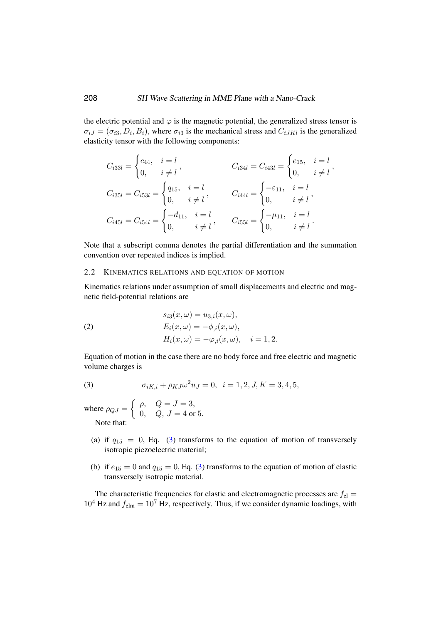the electric potential and  $\varphi$  is the magnetic potential, the generalized stress tensor is  $\sigma_{iJ} = (\sigma_{i3}, D_i, B_i)$ , where  $\sigma_{i3}$  is the mechanical stress and  $C_{iJKl}$  is the generalized elasticity tensor with the following components:

$$
C_{i33l} = \begin{cases} c_{44}, & i = l \\ 0, & i \neq l \end{cases}, \t C_{i34l} = C_{i43l} = \begin{cases} e_{15}, & i = l \\ 0, & i \neq l \end{cases},
$$
  
\n
$$
C_{i35l} = C_{i53l} = \begin{cases} q_{15}, & i = l \\ 0, & i \neq l \end{cases}, \t C_{i44l} = \begin{cases} -\varepsilon_{11}, & i = l \\ 0, & i \neq l \end{cases},
$$
  
\n
$$
C_{i45l} = C_{i54l} = \begin{cases} -d_{11}, & i = l \\ 0, & i \neq l \end{cases}, \t C_{i55l} = \begin{cases} -\mu_{11}, & i = l \\ 0, & i \neq l \end{cases}.
$$

Note that a subscript comma denotes the partial differentiation and the summation convention over repeated indices is implied.

### 2.2 KINEMATICS RELATIONS AND EQUATION OF MOTION

Kinematics relations under assumption of small displacements and electric and magnetic field-potential relations are

(2)  
\n
$$
s_{i3}(x,\omega) = u_{3,i}(x,\omega),
$$
\n
$$
E_i(x,\omega) = -\phi_{,i}(x,\omega),
$$
\n
$$
H_i(x,\omega) = -\varphi_{,i}(x,\omega), \quad i = 1, 2.
$$

Equation of motion in the case there are no body force and free electric and magnetic volume charges is

<span id="page-5-0"></span>(3) 
$$
\sigma_{iK,i} + \rho_{KJ}\omega^2 u_J = 0, \quad i = 1, 2, J, K = 3, 4, 5,
$$

where  $\rho_{QJ} = \begin{cases} \rho, & Q = J = 3, \\ 0, & Q = J - 4, \text{or} \end{cases}$ 0,  $Q, J = 4 \text{ or } 5.$ Note that:

- (a) if  $q_{15} = 0$ , Eq. [\(3\)](#page-5-0) transforms to the equation of motion of transversely isotropic piezoelectric material;
- (b) if  $e_{15} = 0$  and  $q_{15} = 0$ , Eq. [\(3\)](#page-5-0) transforms to the equation of motion of elastic transversely isotropic material.

The characteristic frequencies for elastic and electromagnetic processes are  $f_{el}$  =  $10^4$  Hz and  $f_{\text{elm}} = 10^7$  Hz, respectively. Thus, if we consider dynamic loadings, with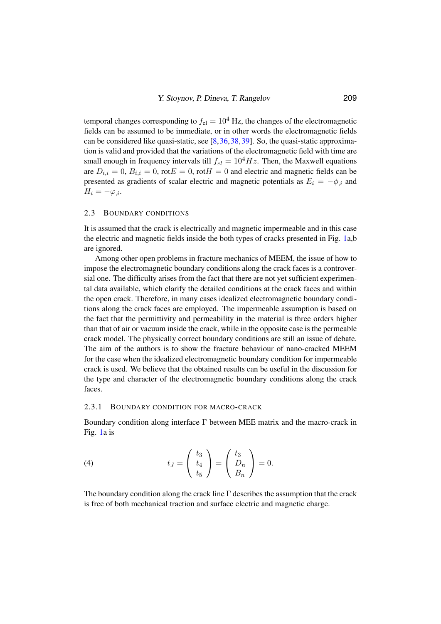temporal changes corresponding to  $f_{el} = 10^4$  Hz, the changes of the electromagnetic fields can be assumed to be immediate, or in other words the electromagnetic fields can be considered like quasi-static, see [\[8,](#page-18-7)[36,](#page-19-10)[38,](#page-19-12)[39\]](#page-20-1). So, the quasi-static approximation is valid and provided that the variations of the electromagnetic field with time are small enough in frequency intervals till  $f_{el} = 10^4 Hz$ . Then, the Maxwell equations are  $D_{i,i} = 0$ ,  $B_{i,i} = 0$ , rot $E = 0$ , rot $H = 0$  and electric and magnetic fields can be presented as gradients of scalar electric and magnetic potentials as  $E_i = -\phi_{i,i}$  and  $H_i = -\varphi_{i}$ .

#### 2.3 BOUNDARY CONDITIONS

It is assumed that the crack is electrically and magnetic impermeable and in this case the electric and magnetic fields inside the both types of cracks presented in Fig. [1a](#page-3-0),b are ignored.

Among other open problems in fracture mechanics of MEEM, the issue of how to impose the electromagnetic boundary conditions along the crack faces is a controversial one. The difficulty arises from the fact that there are not yet sufficient experimental data available, which clarify the detailed conditions at the crack faces and within the open crack. Therefore, in many cases idealized electromagnetic boundary conditions along the crack faces are employed. The impermeable assumption is based on the fact that the permittivity and permeability in the material is three orders higher than that of air or vacuum inside the crack, while in the opposite case is the permeable crack model. The physically correct boundary conditions are still an issue of debate. The aim of the authors is to show the fracture behaviour of nano-cracked MEEM for the case when the idealized electromagnetic boundary condition for impermeable crack is used. We believe that the obtained results can be useful in the discussion for the type and character of the electromagnetic boundary conditions along the crack faces.

#### 2.3.1 BOUNDARY CONDITION FOR MACRO-CRACK

Boundary condition along interface Γ between MEE matrix and the macro-crack in Fig. [1a](#page-3-0) is

<span id="page-6-0"></span>(4) 
$$
t_J = \begin{pmatrix} t_3 \\ t_4 \\ t_5 \end{pmatrix} = \begin{pmatrix} t_3 \\ D_n \\ B_n \end{pmatrix} = 0.
$$

The boundary condition along the crack line  $\Gamma$  describes the assumption that the crack is free of both mechanical traction and surface electric and magnetic charge.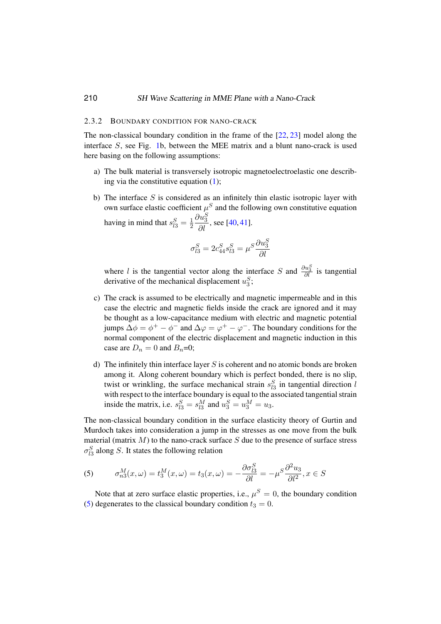### 2.3.2 BOUNDARY CONDITION FOR NANO-CRACK

The non-classical boundary condition in the frame of the  $[22, 23]$  $[22, 23]$  $[22, 23]$  model along the interface S, see Fig. [1b](#page-3-0), between the MEE matrix and a blunt nano-crack is used here basing on the following assumptions:

- a) The bulk material is transversely isotropic magnetoelectroelastic one describing via the constitutive equation  $(1)$ ;
- b) The interface  $S$  is considered as an infinitely thin elastic isotropic layer with own surface elastic coefficient  $\mu^S$  and the following own constitutive equation having in mind that  $s_{l3}^S = \frac{1}{2}$ 2  $\frac{\partial u_3^S}{\partial l}$ , see [\[40,](#page-20-2) [41\]](#page-20-3).

$$
\sigma_{l3}^S = 2c_{44}^S s_{l3}^S = \mu^S \frac{\partial u_3^S}{\partial l}
$$

where l is the tangential vector along the interface S and  $\frac{\partial u_3^S}{\partial l}$  is tangential derivative of the mechanical displacement  $u_3^S$ ;

- c) The crack is assumed to be electrically and magnetic impermeable and in this case the electric and magnetic fields inside the crack are ignored and it may be thought as a low-capacitance medium with electric and magnetic potential jumps  $\Delta \phi = \phi^+ - \phi^-$  and  $\Delta \varphi = \varphi^+ - \varphi^-$ . The boundary conditions for the normal component of the electric displacement and magnetic induction in this case are  $D_n = 0$  and  $B_n=0$ ;
- d) The infinitely thin interface layer  $S$  is coherent and no atomic bonds are broken among it. Along coherent boundary which is perfect bonded, there is no slip, twist or wrinkling, the surface mechanical strain  $s_{l3}^S$  in tangential direction l with respect to the interface boundary is equal to the associated tangential strain inside the matrix, i.e.  $s_{13}^S = s_{13}^M$  and  $u_3^S = u_3^M = u_3$ .

The non-classical boundary condition in the surface elasticity theory of Gurtin and Murdoch takes into consideration a jump in the stresses as one move from the bulk material (matrix  $M$ ) to the nano-crack surface  $S$  due to the presence of surface stress  $\sigma_{l3}^S$  along S. It states the following relation

<span id="page-7-0"></span>(5) 
$$
\sigma_{n3}^M(x,\omega) = t_3^M(x,\omega) = t_3(x,\omega) = -\frac{\partial \sigma_{l3}^S}{\partial l} = -\mu^S \frac{\partial^2 u_3}{\partial l^2}, x \in S
$$

Note that at zero surface elastic properties, i.e.,  $\mu^S = 0$ , the boundary condition [\(5\)](#page-7-0) degenerates to the classical boundary condition  $t_3 = 0$ .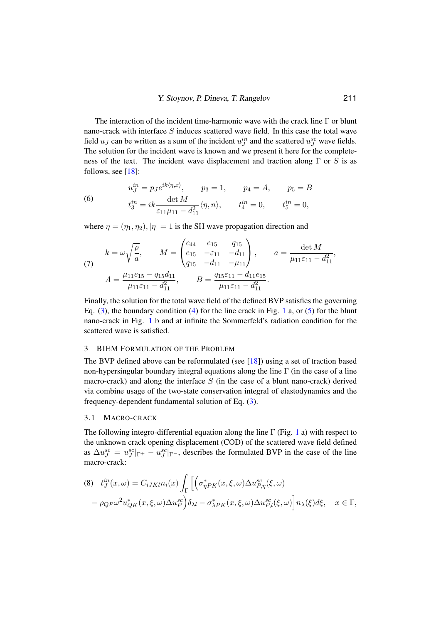The interaction of the incident time-harmonic wave with the crack line  $\Gamma$  or blunt nano-crack with interface S induces scattered wave field. In this case the total wave field  $u_J$  can be written as a sum of the incident  $u_J^{in}$  and the scattered  $u_J^{sc}$  wave fields. The solution for the incident wave is known and we present it here for the completeness of the text. The incident wave displacement and traction along  $\Gamma$  or S is as follows, see [\[18\]](#page-18-8):

(6) 
$$
u_{J}^{in} = p_{J}e^{ik\langle \eta, x \rangle}, \qquad p_{3} = 1, \qquad p_{4} = A, \qquad p_{5} = B
$$

$$
t_{3}^{in} = ik \frac{\det M}{\varepsilon_{11} \mu_{11} - d_{11}^{2}} \langle \eta, n \rangle, \qquad t_{4}^{in} = 0, \qquad t_{5}^{in} = 0,
$$

where  $\eta = (\eta_1, \eta_2), |\eta| = 1$  is the SH wave propagation direction and

<span id="page-8-3"></span>(7) 
$$
k = \omega \sqrt{\frac{\rho}{a}}, \qquad M = \begin{pmatrix} c_{44} & e_{15} & q_{15} \\ e_{15} & -\varepsilon_{11} & -d_{11} \\ q_{15} & -d_{11} & -\mu_{11} \end{pmatrix}, \qquad a = \frac{\det M}{\mu_{11}\varepsilon_{11} - d_{11}^2},
$$

$$
A = \frac{\mu_{11}e_{15} - q_{15}d_{11}}{\mu_{11}\varepsilon_{11} - d_{11}^2}, \qquad B = \frac{q_{15}\varepsilon_{11} - d_{11}e_{15}}{\mu_{11}\varepsilon_{11} - d_{11}^2}.
$$

Finally, the solution for the total wave field of the defined BVP satisfies the governing Eq.  $(3)$ , the boundary condition  $(4)$  for the line crack in Fig. [1](#page-3-0) a, or  $(5)$  for the blunt nano-crack in Fig. [1](#page-3-0) b and at infinite the Sommerfeld's radiation condition for the scattered wave is satisfied.

#### <span id="page-8-0"></span>3 BIEM FORMULATION OF THE PROBLEM

The BVP defined above can be reformulated (see [\[18\]](#page-18-8)) using a set of traction based non-hypersingular boundary integral equations along the line  $\Gamma$  (in the case of a line macro-crack) and along the interface  $S$  (in the case of a blunt nano-crack) derived via combine usage of the two-state conservation integral of elastodynamics and the frequency-dependent fundamental solution of Eq. [\(3\)](#page-5-0).

### <span id="page-8-2"></span>3.1 MACRO-CRACK

The following integro-differential equation along the line  $\Gamma$  (Fig. [1](#page-3-0) a) with respect to the unknown crack opening displacement (COD) of the scattered wave field defined as  $\Delta u_J^{sc} = u_J^{sc} |_{\Gamma^+} - u_J^{sc} |_{\Gamma^-}$ , describes the formulated BVP in the case of the line macro-crack:

<span id="page-8-1"></span>(8) 
$$
t_J^{in}(x,\omega) = C_{iJKl}n_i(x) \int_{\Gamma} \left[ \left( \sigma_{\eta P K}^*(x,\xi,\omega) \Delta u_{P,\eta}^{sc}(\xi,\omega) - \rho_{QP}\omega^2 u_{QK}^*(x,\xi,\omega) \Delta u_P^{sc} \right) \delta_{\lambda l} - \sigma_{\lambda P K}^*(x,\xi,\omega) \Delta u_{P,l}^{sc}(\xi,\omega) \right] n_{\lambda}(\xi) d\xi, \quad x \in \Gamma,
$$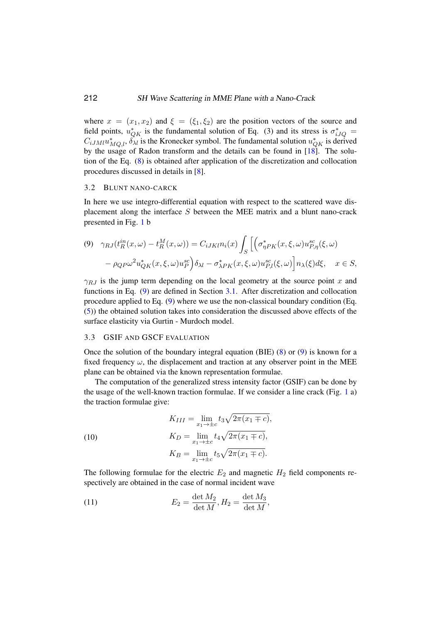where  $x = (x_1, x_2)$  and  $\xi = (\xi_1, \xi_2)$  are the position vectors of the source and field points,  $u_{QK}^*$  is the fundamental solution of Eq. (3) and its stress is  $\sigma_{iJQ}^*$  $C_{iJMI}u_{MQ,l}^*$ ,  $\delta_{\lambda l}$  is the Kronecker symbol. The fundamental solution  $u_{QK}^*$  is derived by the usage of Radon transform and the details can be found in [\[18\]](#page-18-8). The solution of the Eq. [\(8\)](#page-8-1) is obtained after application of the discretization and collocation procedures discussed in details in [\[8\]](#page-18-7).

#### 3.2 BLUNT NANO-CARCK

In here we use integro-differential equation with respect to the scattered wave displacement along the interface S between the MEE matrix and a blunt nano-crack presented in Fig. [1](#page-3-0) b

<span id="page-9-0"></span>
$$
(9) \quad \gamma_{RJ}(t_R^{in}(x,\omega) - t_R^M(x,\omega)) = C_{iJKl}n_i(x) \int_S \left[ \left( \sigma_{\eta P K}^*(x,\xi,\omega) u_{P,\eta}^{sc}(\xi,\omega) \right. \right. \\ \left. - \rho_{QP}\omega^2 u_{QK}^*(x,\xi,\omega) u_P^{sc} \right) \delta_{\lambda l} - \sigma_{\lambda P K}^*(x,\xi,\omega) u_{P,l}^{sc}(\xi,\omega) \right] n_{\lambda}(\xi) d\xi, \quad x \in S,
$$

 $\gamma_{RJ}$  is the jump term depending on the local geometry at the source point x and functions in Eq. [\(9\)](#page-9-0) are defined in Section [3.1.](#page-8-2) After discretization and collocation procedure applied to Eq. [\(9\)](#page-9-0) where we use the non-classical boundary condition (Eq. [\(5\)](#page-7-0)) the obtained solution takes into consideration the discussed above effects of the surface elasticity via Gurtin - Murdoch model.

# 3.3 GSIF AND GSCF EVALUATION

Once the solution of the boundary integral equation (BIE) [\(8\)](#page-8-1) or [\(9\)](#page-9-0) is known for a fixed frequency  $\omega$ , the displacement and traction at any observer point in the MEE plane can be obtained via the known representation formulae.

The computation of the generalized stress intensity factor (GSIF) can be done by the usage of the well-known traction formulae. If we consider a line crack (Fig. [1](#page-3-0) a) the traction formulae give:

(10)  
\n
$$
K_{III} = \lim_{x_1 \to \pm c} t_3 \sqrt{2\pi (x_1 \mp c)},
$$
\n
$$
K_D = \lim_{x_1 \to \pm c} t_4 \sqrt{2\pi (x_1 \mp c)},
$$
\n
$$
K_B = \lim_{x_1 \to \pm c} t_5 \sqrt{2\pi (x_1 \mp c)}.
$$

The following formulae for the electric  $E_2$  and magnetic  $H_2$  field components respectively are obtained in the case of normal incident wave

(11) 
$$
E_2 = \frac{\det M_2}{\det M}, H_2 = \frac{\det M_3}{\det M},
$$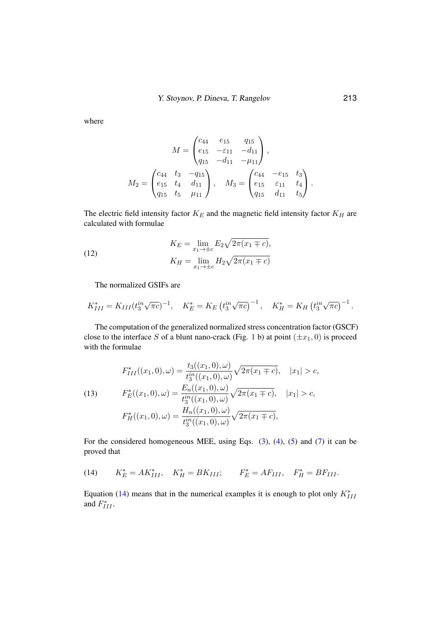where

$$
M = \begin{pmatrix} c_{44} & e_{15} & q_{15} \\ e_{15} & -\varepsilon_{11} & -d_{11} \\ q_{15} & -d_{11} & -\mu_{11} \end{pmatrix},
$$

$$
M_2 = \begin{pmatrix} c_{44} & t_3 & -q_{15} \\ e_{15} & t_4 & d_{11} \\ q_{15} & t_5 & \mu_{11} \end{pmatrix}, \quad M_3 = \begin{pmatrix} c_{44} & -e_{15} & t_3 \\ e_{15} & \varepsilon_{11} & t_4 \\ q_{15} & d_{11} & t_5 \end{pmatrix}.
$$

The electric field intensity factor  $K_E$  and the magnetic field intensity factor  $K_H$  are calculated with formulae

(12) 
$$
K_E = \lim_{x_1 \to \pm c} E_2 \sqrt{2\pi (x_1 \mp c)},
$$

$$
K_H = \lim_{x_1 \to \pm c} H_2 \sqrt{2\pi (x_1 \mp c)}
$$

The normalized GSIFs are

$$
K_{III}^* = K_{III} (t_3^{in} \sqrt{\pi c})^{-1}, \quad K_E^* = K_E (t_3^{in} \sqrt{\pi c})^{-1}, \quad K_H^* = K_H (t_3^{in} \sqrt{\pi c})^{-1}.
$$

The computation of the generalized normalized stress concentration factor (GSCF) close to the interface S of a blunt nano-crack (Fig. [1](#page-3-0) b) at point  $(\pm x_1, 0)$  is proceed with the formulae

(13) 
$$
F_{III}^{*}((x_1, 0), \omega) = \frac{t_3((x_1, 0), \omega)}{t_3^{in}((x_1, 0), \omega)} \sqrt{2\pi(x_1 \mp c)}, \quad |x_1| > c,
$$

$$
F_E^{*}((x_1, 0), \omega) = \frac{E_n((x_1, 0), \omega)}{t_3^{in}((x_1, 0), \omega)} \sqrt{2\pi(x_1 \mp c)}, \quad |x_1| > c,
$$

$$
F_H^{*}((x_1, 0), \omega) = \frac{H_n((x_1, 0), \omega)}{t_3^{in}((x_1, 0), \omega)} \sqrt{2\pi(x_1 \mp c)},
$$

For the considered homogeneous MEE, using Eqs. [\(3\)](#page-5-0), [\(4\)](#page-6-0), [\(5\)](#page-7-0) and [\(7\)](#page-8-3) it can be proved that

<span id="page-10-0"></span>(14) 
$$
K_E^* = AK_{III}^*, \quad K_H^* = BK_{III}; \qquad F_E^* = AF_{III}, \quad F_H^* = BF_{III}.
$$

Equation [\(14\)](#page-10-0) means that in the numerical examples it is enough to plot only  $K_{III}^*$ and  $F_{III}^*$ .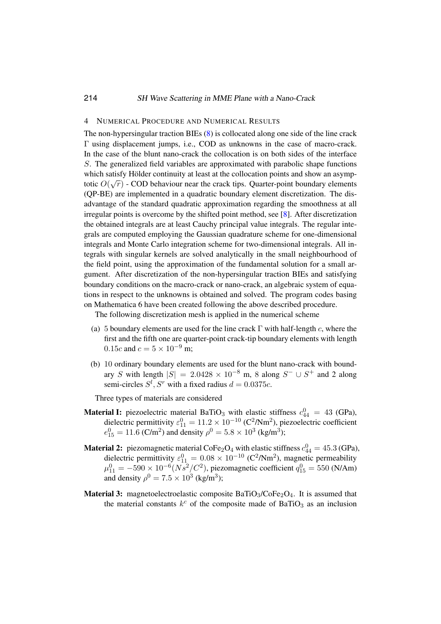### <span id="page-11-0"></span>4 NUMERICAL PROCEDURE AND NUMERICAL RESULTS

The non-hypersingular traction BIEs [\(8\)](#page-8-1) is collocated along one side of the line crack Γ using displacement jumps, i.e., COD as unknowns in the case of macro-crack. In the case of the blunt nano-crack the collocation is on both sides of the interface S. The generalized field variables are approximated with parabolic shape functions which satisfy Hölder continuity at least at the collocation points and show an asymptotic  $O(\sqrt{r})$  - COD behaviour near the crack tips. Quarter-point boundary elements (QP-BE) are implemented in a quadratic boundary element discretization. The disadvantage of the standard quadratic approximation regarding the smoothness at all irregular points is overcome by the shifted point method, see [\[8\]](#page-18-7). After discretization the obtained integrals are at least Cauchy principal value integrals. The regular integrals are computed employing the Gaussian quadrature scheme for one-dimensional integrals and Monte Carlo integration scheme for two-dimensional integrals. All integrals with singular kernels are solved analytically in the small neighbourhood of the field point, using the approximation of the fundamental solution for a small argument. After discretization of the non-hypersingular traction BIEs and satisfying boundary conditions on the macro-crack or nano-crack, an algebraic system of equations in respect to the unknowns is obtained and solved. The program codes basing on Mathematica 6 have been created following the above described procedure.

The following discretization mesh is applied in the numerical scheme

- (a) 5 boundary elements are used for the line crack  $\Gamma$  with half-length c, where the first and the fifth one are quarter-point crack-tip boundary elements with length 0.15c and  $c = 5 \times 10^{-9}$  m;
- (b) 10 ordinary boundary elements are used for the blunt nano-crack with boundary S with length  $|S| = 2.0428 \times 10^{-8}$  m, 8 along  $S^- \cup S^+$  and 2 along semi-circles  $S^l$ ,  $S^r$  with a fixed radius  $d = 0.0375c$ .

Three types of materials are considered

- **Material I:** piezoelectric material BaTiO<sub>3</sub> with elastic stiffness  $c_{44}^0 = 43$  (GPa), dielectric permittivity  $\varepsilon_{11}^0 = 11.2 \times 10^{-10}$  (C<sup>2</sup>/Nm<sup>2</sup>), piezoelectric coefficient  $e_{15}^0 = 11.6$  (C/m<sup>2</sup>) and density  $\rho^0 = 5.8 \times 10^3$  (kg/m<sup>3</sup>);
- **Material 2:** piezomagnetic material CoFe<sub>2</sub>O<sub>4</sub> with elastic stiffness  $c_{44}^0 = 45.3$  (GPa), dielectric permittivity  $\varepsilon_{11}^0 = 0.08 \times 10^{-10}$  (C<sup>2</sup>/Nm<sup>2</sup>), magnetic permeability  $\mu_{11}^0 = -590 \times 10^{-6} (Ns^2/C^2)$ , piezomagnetic coefficient  $q_{15}^0 = 550$  (N/Am) and density  $\rho^0 = 7.5 \times 10^3$  (kg/m<sup>3</sup>);
- **Material 3:** magnetoelectroelastic composite  $BaTiO<sub>3</sub>/CoFe<sub>2</sub>O<sub>4</sub>$ . It is assumed that the material constants  $k^c$  of the composite made of BaTiO<sub>3</sub> as an inclusion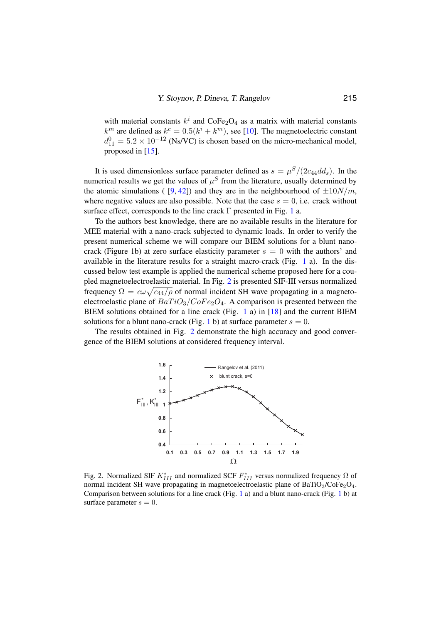with material constants  $k^i$  and CoFe<sub>2</sub>O<sub>4</sub> as a matrix with material constants  $k^m$  are defined as  $k^c = 0.5(k^i + k^m)$ , see [\[10\]](#page-18-9). The magnetoelectric constant  $d_{11}^0 = 5.2 \times 10^{-12}$  (Ns/VC) is chosen based on the micro-mechanical model, proposed in [\[15\]](#page-18-3).

It is used dimensionless surface parameter defined as  $s = \mu^S/(2c_{44}dd_s)$ . In the numerical results we get the values of  $\mu^S$  from the literature, usually determined by the atomic simulations ( [\[9,](#page-18-10) [42\]](#page-20-4)) and they are in the neighbourhood of  $\pm 10N/m$ , where negative values are also possible. Note that the case  $s = 0$ , i.e. crack without surface effect, corresponds to the line crack  $\Gamma$  presented in Fig. [1](#page-3-0) a.

To the authors best knowledge, there are no available results in the literature for MEE material with a nano-crack subjected to dynamic loads. In order to verify the present numerical scheme we will compare our BIEM solutions for a blunt nanocrack (Figure 1b) at zero surface elasticity parameter  $s = 0$  with the authors' and available in the literature results for a straight macro-crack (Fig.  $1$  a). In the discussed below test example is applied the numerical scheme proposed here for a coupled magnetoelectroelastic material. In Fig. [2](#page-12-0) is presented SIF-III versus normalized frequency  $\Omega = c\omega\sqrt{c_{44}/\rho}$  of normal incident SH wave propagating in a magnetoelectroelastic plane of  $BaTiO<sub>3</sub>/CoFe<sub>2</sub>O<sub>4</sub>$ . A comparison is presented between the BIEM solutions obtained for a line crack (Fig. [1](#page-3-0) a) in [\[18\]](#page-18-8) and the current BIEM solutions for a blunt nano-crack (Fig. [1](#page-3-0) b) at surface parameter  $s = 0$ .

The results obtained in Fig. [2](#page-12-0) demonstrate the high accuracy and good convergence of the BIEM solutions at considered frequency interval.



<span id="page-12-0"></span>Fig. 2. Normalized SIF  $K_{III}^*$  and normalized SCF  $F_{III}^*$  versus normalized frequency  $\Omega$  of normal incident SH wave propagating in magnetoelectroelastic plane of  $BaTiO<sub>3</sub>/CoFe<sub>2</sub>O<sub>4</sub>$ . Comparison between solutions for a line crack (Fig. [1](#page-3-0) a) and a blunt nano-crack (Fig. 1 b) at surface parameter  $s = 0$ .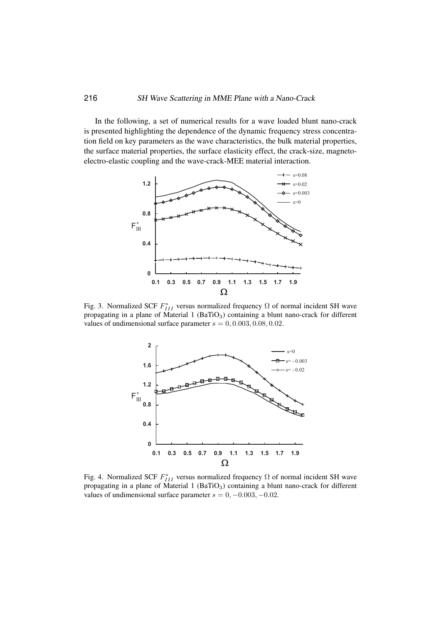In the following, a set of numerical results for a wave loaded blunt nano-crack is presented highlighting the dependence of the dynamic frequency stress concentration field on key parameters as the wave characteristics, the bulk material properties, the surface material properties, the surface elasticity effect, the crack-size, magnetoelectro-elastic coupling and the wave-crack-MEE material interaction.



<span id="page-13-0"></span>Fig. 3. Normalized SCF  $F_{III}^*$  versus normalized frequency  $\Omega$  of normal incident SH wave propagating in a plane of Material 1 (BaTiO<sub>3</sub>) containing a blunt nano-crack for different values of undimensional surface parameter  $s = 0, 0.003, 0.08, 0.02$ .



<span id="page-13-1"></span>Fig. 4. Normalized SCF  $F_{III}^*$  versus normalized frequency  $\Omega$  of normal incident SH wave propagating in a plane of Material 1 ( $BaTiO<sub>3</sub>$ ) containing a blunt nano-crack for different values of undimensional surface parameter  $s = 0, -0.003, -0.02$ .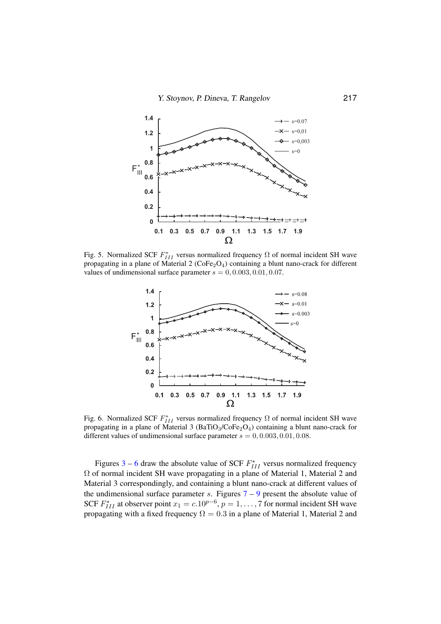Y. Stoynov, P. Dineva, T. Rangelov 217



Fig. 5. Normalized SCF  $F_{III}^*$  versus normalized frequency  $\Omega$  of normal incident SH wave propagating in a plane of Material 2 ( $\text{CoFe}_2\text{O}_4$ ) containing a blunt nano-crack for different values of undimensional surface parameter  $s = 0, 0.003, 0.01, 0.07$ .



<span id="page-14-0"></span>Fig. 6. Normalized SCF  $F_{III}^*$  versus normalized frequency  $\Omega$  of normal incident SH wave propagating in a plane of Material 3 (BaTiO<sub>3</sub>/CoFe<sub>2</sub>O<sub>4</sub>) containing a blunt nano-crack for different values of undimensional surface parameter  $s = 0, 0.003, 0.01, 0.08$ .

Figures [3](#page-13-0) – [6](#page-14-0) draw the absolute value of SCF  $F_{III}^*$  versus normalized frequency Ω of normal incident SH wave propagating in a plane of Material 1, Material 2 and Material 3 correspondingly, and containing a blunt nano-crack at different values of the undimensional surface parameter s. Figures  $7 - 9$  $7 - 9$  $7 - 9$  present the absolute value of SCF  $F_{III}^*$  at observer point  $x_1 = c \cdot 10^{p-6}$ ,  $p = 1, \ldots, 7$  for normal incident SH wave propagating with a fixed frequency  $\Omega = 0.3$  in a plane of Material 1, Material 2 and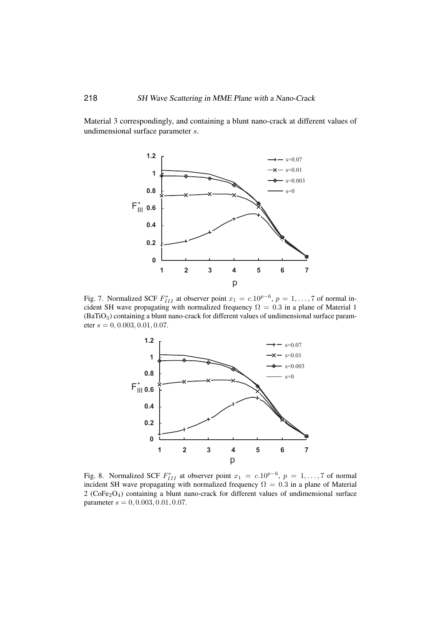Material 3 correspondingly, and containing a blunt nano-crack at different values of undimensional surface parameter s.



<span id="page-15-0"></span>Fig. 7. Normalized SCF  $F_{III}^*$  at observer point  $x_1 = c \cdot 10^{p-6}$ ,  $p = 1, \ldots, 7$  of normal incident SH wave propagating with normalized frequency  $\Omega = 0.3$  in a plane of Material 1  $(BaTiO<sub>3</sub>)$  containing a blunt nano-crack for different values of undimensional surface parameter  $s = 0, 0.003, 0.01, 0.07$ .



Fig. 8. Normalized SCF  $F_{III}^*$  at observer point  $x_1 = c.10^{p-6}$ ,  $p = 1, \ldots, 7$  of normal incident SH wave propagating with normalized frequency  $\Omega = 0.3$  in a plane of Material  $2$  (CoFe<sub>2</sub>O<sub>4</sub>) containing a blunt nano-crack for different values of undimensional surface parameter  $s = 0, 0.003, 0.01, 0.07$ .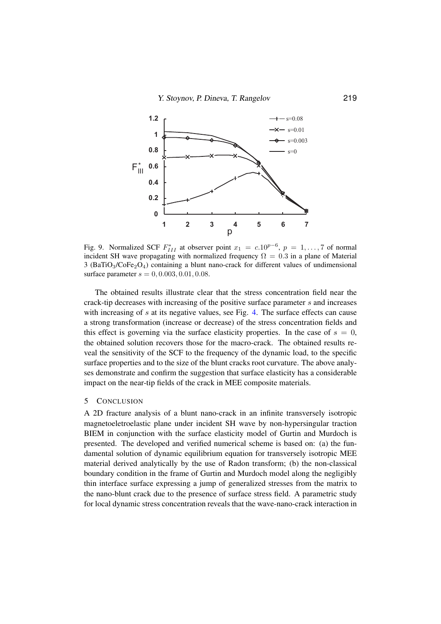

<span id="page-16-1"></span>Fig. 9. Normalized SCF  $F_{III}^*$  at observer point  $x_1 = c.10^{p-6}$ ,  $p = 1, ..., 7$  of normal incident SH wave propagating with normalized frequency  $\Omega = 0.3$  in a plane of Material 3 (BaTiO<sub>3</sub>/CoFe<sub>2</sub>O<sub>4</sub>) containing a blunt nano-crack for different values of undimensional surface parameter  $s = 0, 0.003, 0.01, 0.08$ .

The obtained results illustrate clear that the stress concentration field near the crack-tip decreases with increasing of the positive surface parameter s and increases with increasing of s at its negative values, see Fig. [4.](#page-13-1) The surface effects can cause a strong transformation (increase or decrease) of the stress concentration fields and this effect is governing via the surface elasticity properties. In the case of  $s = 0$ , the obtained solution recovers those for the macro-crack. The obtained results reveal the sensitivity of the SCF to the frequency of the dynamic load, to the specific surface properties and to the size of the blunt cracks root curvature. The above analyses demonstrate and confirm the suggestion that surface elasticity has a considerable impact on the near-tip fields of the crack in MEE composite materials.

#### <span id="page-16-0"></span>5 CONCLUSION

A 2D fracture analysis of a blunt nano-crack in an infinite transversely isotropic magnetoeletroelastic plane under incident SH wave by non-hypersingular traction BIEM in conjunction with the surface elasticity model of Gurtin and Murdoch is presented. The developed and verified numerical scheme is based on: (a) the fundamental solution of dynamic equilibrium equation for transversely isotropic MEE material derived analytically by the use of Radon transform; (b) the non-classical boundary condition in the frame of Gurtin and Murdoch model along the negligibly thin interface surface expressing a jump of generalized stresses from the matrix to the nano-blunt crack due to the presence of surface stress field. A parametric study for local dynamic stress concentration reveals that the wave-nano-crack interaction in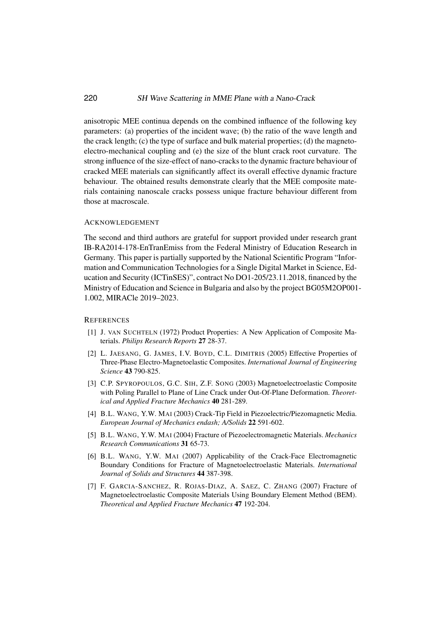anisotropic MEE continua depends on the combined influence of the following key parameters: (a) properties of the incident wave; (b) the ratio of the wave length and the crack length; (c) the type of surface and bulk material properties; (d) the magnetoelectro-mechanical coupling and (e) the size of the blunt crack root curvature. The strong influence of the size-effect of nano-cracks to the dynamic fracture behaviour of cracked MEE materials can significantly affect its overall effective dynamic fracture behaviour. The obtained results demonstrate clearly that the MEE composite materials containing nanoscale cracks possess unique fracture behaviour different from those at macroscale.

#### ACKNOWLEDGEMENT

The second and third authors are grateful for support provided under research grant IB-RA2014-178-EnTranEmiss from the Federal Ministry of Education Research in Germany. This paper is partially supported by the National Scientific Program "Information and Communication Technologies for a Single Digital Market in Science, Education and Security (ICTinSES)", contract No DO1-205/23.11.2018, financed by the Ministry of Education and Science in Bulgaria and also by the project BG05M2OP001- 1.002, MIRACle 2019–2023.

### <span id="page-17-0"></span>**REFERENCES**

- [1] J. VAN SUCHTELN (1972) Product Properties: A New Application of Composite Materials. *Philips Research Reports* 27 28-37.
- <span id="page-17-1"></span>[2] L. JAESANG, G. JAMES, I.V. BOYD, C.L. DIMITRIS (2005) Effective Properties of Three-Phase Electro-Magnetoelastic Composites. *International Journal of Engineering Science* 43 790-825.
- <span id="page-17-2"></span>[3] C.P. SPYROPOULOS, G.C. SIH, Z.F. SONG (2003) Magnetoelectroelastic Composite with Poling Parallel to Plane of Line Crack under Out-Of-Plane Deformation. *Theoretical and Applied Fracture Mechanics* 40 281-289.
- [4] B.L. WANG, Y.W. MAI (2003) Crack-Tip Field in Piezoelectric/Piezomagnetic Media. *European Journal of Mechanics endash; A/Solids* 22 591-602.
- [5] B.L. WANG, Y.W. MAI (2004) Fracture of Piezoelectromagnetic Materials. *Mechanics Research Communications* 31 65-73.
- [6] B.L. WANG, Y.W. MAI (2007) Applicability of the Crack-Face Electromagnetic Boundary Conditions for Fracture of Magnetoelectroelastic Materials. *International Journal of Solids and Structures* 44 387-398.
- [7] F. GARCIA-SANCHEZ, R. ROJAS-DIAZ, A. SAEZ, C. ZHANG (2007) Fracture of Magnetoelectroelastic Composite Materials Using Boundary Element Method (BEM). *Theoretical and Applied Fracture Mechanics* 47 192-204.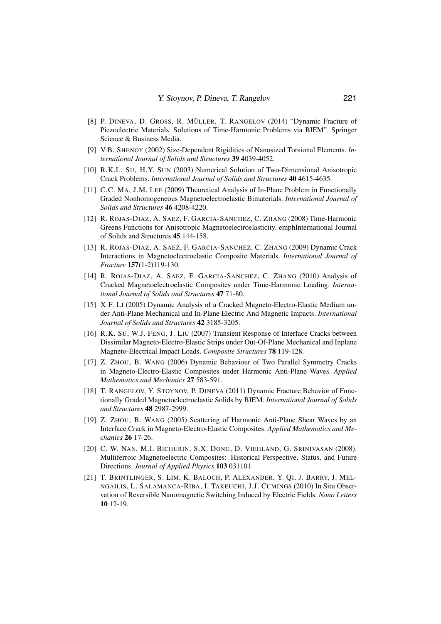- <span id="page-18-7"></span>[8] P. DINEVA, D. GROSS, R. MÜLLER, T. RANGELOV (2014) "Dynamic Fracture of Piezoelectric Materials. Solutions of Time-Harmonic Problems via BIEM". Springer Science & Business Media.
- <span id="page-18-10"></span>[9] V.B. SHENOY (2002) Size-Dependent Rigidities of Nanosized Torsional Elements. *International Journal of Solids and Structures* 39 4039-4052.
- <span id="page-18-9"></span>[10] R.K.L. SU, H.Y. SUN (2003) Numerical Solution of Two-Dimensional Anisotropic Crack Problems. *International Journal of Solids and Structures* 40 4615-4635.
- <span id="page-18-0"></span>[11] C.C. MA, J.M. LEE (2009) Theoretical Analysis of In-Plane Problem in Functionally Graded Nonhomogeneous Magnetoelectroelastic Bimaterials. *International Journal of Solids and Structures* 46 4208-4220.
- <span id="page-18-1"></span>[12] R. ROJAS-DIAZ, A. SAEZ, F. GARCIA-SANCHEZ, C. ZHANG (2008) Time-Harmonic Greens Functions for Anisotropic Magnetoelectroelasticity. emphInternational Journal of Solids and Structures 45 144-158.
- [13] R. ROJAS-DIAZ, A. SAEZ, F. GARCIA-SANCHEZ, C. ZHANG (2009) Dynamic Crack Interactions in Magnetoelectroelastic Composite Materials. *International Journal of Fracture* 157(1-2)119-130.
- <span id="page-18-2"></span>[14] R. ROJAS-DIAZ, A. SAEZ, F. GARCIA-SANCHEZ, C. ZHANG (2010) Analysis of Cracked Magnetoelectroelastic Composites under Time-Harmonic Loading. *International Journal of Solids and Structures* 47 71-80.
- <span id="page-18-3"></span>[15] X.F. LI (2005) Dynamic Analysis of a Cracked Magneto-Electro-Elastic Medium under Anti-Plane Mechanical and In-Plane Electric And Magnetic Impacts. *International Journal of Solids and Structures* 42 3185-3205.
- [16] R.K. SU, W.J. FENG, J. LIU (2007) Transient Response of Interface Cracks between Dissimilar Magneto-Electro-Elastic Strips under Out-Of-Plane Mechanical and Inplane Magneto-Electrical Impact Loads. *Composite Structures* 78 119-128.
- [17] Z. ZHOU, B. WANG (2006) Dynamic Behaviour of Two Parallel Symmetry Cracks in Magneto-Electro-Elastic Composites under Harmonic Anti-Plane Waves. *Applied Mathematics and Mechanics* 27 583-591.
- <span id="page-18-8"></span>[18] T. RANGELOV, Y. STOYNOV, P. DINEVA (2011) Dynamic Fracture Behavior of Functionally Graded Magnetoelectroelastic Solids by BIEM. *International Journal of Solids and Structures* 48 2987-2999.
- <span id="page-18-4"></span>[19] Z. ZHOU, B. WANG (2005) Scattering of Harmonic Anti-Plane Shear Waves by an Interface Crack in Magneto-Electro-Elastic Composites. *Applied Mathematics and Mechanics* 26 17-26.
- <span id="page-18-5"></span>[20] C. W. NAN, M.I. BICHURIN, S.X. DONG, D. VIEHLAND, G. SRINIVASAN (2008). Multiferroic Magnetoelectric Composites: Historical Perspective, Status, and Future Directions. *Journal of Applied Physics* 103 031101.
- <span id="page-18-6"></span>[21] T. BRINTLINGER, S. LIM, K. BALOCH, P. ALEXANDER, Y. QI, J. BARRY, J. MEL-NGAILIS, L. SALAMANCA-RIBA, I. TAKEUCHI, J.J. CUMINGS (2010) In Situ Observation of Reversible Nanomagnetic Switching Induced by Electric Fields. *Nano Letters* 10 12-19.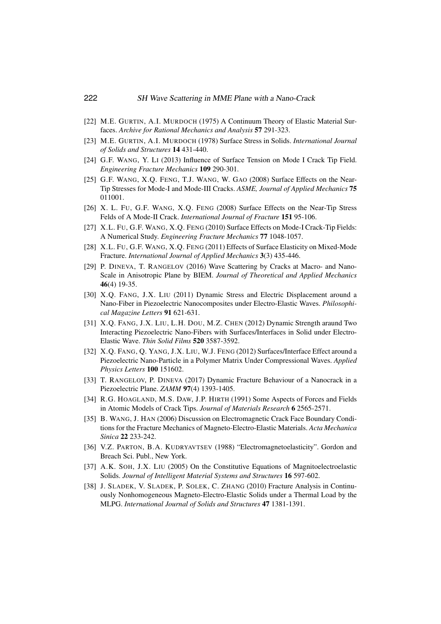- <span id="page-19-0"></span>[22] M.E. GURTIN, A.I. MURDOCH (1975) A Continuum Theory of Elastic Material Surfaces. *Archive for Rational Mechanics and Analysis* 57 291-323.
- <span id="page-19-1"></span>[23] M.E. GURTIN, A.I. MURDOCH (1978) Surface Stress in Solids. *International Journal of Solids and Structures* 14 431-440.
- <span id="page-19-2"></span>[24] G.F. WANG, Y. LI (2013) Influence of Surface Tension on Mode I Crack Tip Field. *Engineering Fracture Mechanics* 109 290-301.
- [25] G.F. WANG, X.Q. FENG, T.J. WANG, W. GAO (2008) Surface Effects on the Near-Tip Stresses for Mode-I and Mode-III Cracks. *ASME, Journal of Applied Mechanics* 75 011001.
- [26] X. L. FU, G.F. WANG, X.Q. FENG (2008) Surface Effects on the Near-Tip Stress Felds of A Mode-II Crack. *International Journal of Fracture* 151 95-106.
- [27] X.L. FU, G.F. WANG, X.Q. FENG (2010) Surface Effects on Mode-I Crack-Tip Fields: A Numerical Study. *Engineering Fracture Mechanics* 77 1048-1057.
- <span id="page-19-3"></span>[28] X.L. FU, G.F. WANG, X.Q. FENG (2011) Effects of Surface Elasticity on Mixed-Mode Fracture. *International Journal of Applied Mechanics* 3(3) 435-446.
- <span id="page-19-4"></span>[29] P. DINEVA, T. RANGELOV (2016) Wave Scattering by Cracks at Macro- and Nano-Scale in Anisotropic Plane by BIEM. *Journal of Theoretical and Applied Mechanics* 46(4) 19-35.
- <span id="page-19-5"></span>[30] X.Q. FANG, J.X. LIU (2011) Dynamic Stress and Electric Displacement around a Nano-Fiber in Piezoelectric Nanocomposites under Electro-Elastic Waves. *Philosophical Magazine Letters* 91 621-631.
- [31] X.Q. FANG, J.X. LIU, L.H. DOU, M.Z. CHEN (2012) Dynamic Strength araund Two Interacting Piezoelectric Nano-Fibers with Surfaces/Interfaces in Solid under Electro-Elastic Wave. *Thin Solid Films* 520 3587-3592.
- <span id="page-19-6"></span>[32] X.Q. FANG, Q. YANG, J.X. LIU, W.J. FENG (2012) Surfaces/Interface Effect around a Piezoelectric Nano-Particle in a Polymer Matrix Under Compressional Waves. *Applied Physics Letters* 100 151602.
- <span id="page-19-7"></span>[33] T. RANGELOV, P. DINEVA (2017) Dynamic Fracture Behaviour of a Nanocrack in a Piezoelectric Plane. *ZAMM* 97(4) 1393-1405.
- <span id="page-19-8"></span>[34] R.G. HOAGLAND, M.S. DAW, J.P. HIRTH (1991) Some Aspects of Forces and Fields in Atomic Models of Crack Tips. *Journal of Materials Research* 6 2565-2571.
- <span id="page-19-9"></span>[35] B. WANG, J. HAN (2006) Discussion on Electromagnetic Crack Face Boundary Conditions for the Fracture Mechanics of Magneto-Electro-Elastic Materials. *Acta Mechanica Sinica* 22 233-242.
- <span id="page-19-10"></span>[36] V.Z. PARTON, B.A. KUDRYAVTSEV (1988) "Electromagnetoelasticity". Gordon and Breach Sci. Publ., New York.
- <span id="page-19-11"></span>[37] A.K. SOH, J.X. LIU (2005) On the Constitutive Equations of Magnitoelectroelastic Solids. *Journal of Intelligent Material Systems and Structures* 16 597-602.
- <span id="page-19-12"></span>[38] J. SLADEK, V. SLADEK, P. SOLEK, C. ZHANG (2010) Fracture Analysis in Continuously Nonhomogeneous Magneto-Electro-Elastic Solids under a Thermal Load by the MLPG. *International Journal of Solids and Structures* 47 1381-1391.